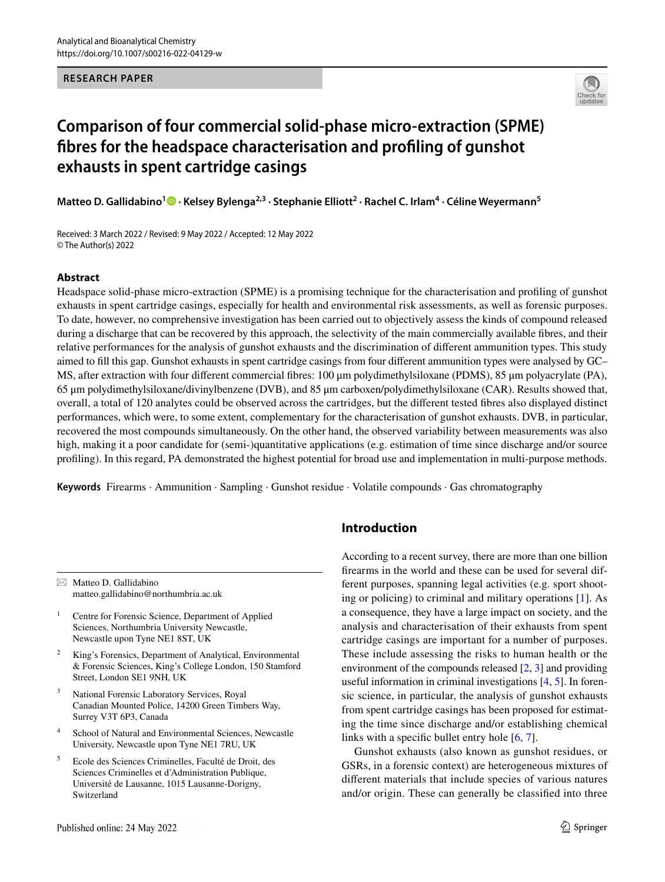### **RESEARCH PAPER**



# **Comparison of four commercial solid‑phase micro‑extraction (SPME) fbres for the headspace characterisation and profling of gunshot exhausts in spent cartridge casings**

**Matteo D. Gallidabino<sup>1</sup> D</mark> [·](http://orcid.org/0000-0001-7871-9793) Kelsey Bylenga<sup>2,3</sup> · Stephanie Elliott<sup>2</sup> · Rachel C. Irlam<sup>4</sup> · Céline Weyermann<sup>5</sup>** 

Received: 3 March 2022 / Revised: 9 May 2022 / Accepted: 12 May 2022 © The Author(s) 2022

### **Abstract**

Headspace solid-phase micro-extraction (SPME) is a promising technique for the characterisation and profling of gunshot exhausts in spent cartridge casings, especially for health and environmental risk assessments, as well as forensic purposes. To date, however, no comprehensive investigation has been carried out to objectively assess the kinds of compound released during a discharge that can be recovered by this approach, the selectivity of the main commercially available fbres, and their relative performances for the analysis of gunshot exhausts and the discrimination of diferent ammunition types. This study aimed to fll this gap. Gunshot exhausts in spent cartridge casings from four diferent ammunition types were analysed by GC– MS, after extraction with four diferent commercial fbres: 100 μm polydimethylsiloxane (PDMS), 85 μm polyacrylate (PA), 65 μm polydimethylsiloxane/divinylbenzene (DVB), and 85 μm carboxen/polydimethylsiloxane (CAR). Results showed that, overall, a total of 120 analytes could be observed across the cartridges, but the diferent tested fbres also displayed distinct performances, which were, to some extent, complementary for the characterisation of gunshot exhausts. DVB, in particular, recovered the most compounds simultaneously. On the other hand, the observed variability between measurements was also high, making it a poor candidate for (semi-)quantitative applications (e.g. estimation of time since discharge and/or source profling). In this regard, PA demonstrated the highest potential for broad use and implementation in multi-purpose methods.

**Keywords** Firearms · Ammunition · Sampling · Gunshot residue · Volatile compounds · Gas chromatography

 $\boxtimes$  Matteo D. Gallidabino matteo.gallidabino@northumbria.ac.uk

<sup>1</sup> Centre for Forensic Science, Department of Applied Sciences, Northumbria University Newcastle, Newcastle upon Tyne NE1 8ST, UK

<sup>2</sup> King's Forensics, Department of Analytical, Environmental & Forensic Sciences, King's College London, 150 Stamford Street, London SE1 9NH, UK

- <sup>3</sup> National Forensic Laboratory Services, Royal Canadian Mounted Police, 14200 Green Timbers Way, Surrey V3T 6P3, Canada
- <sup>4</sup> School of Natural and Environmental Sciences, Newcastle University, Newcastle upon Tyne NE1 7RU, UK
- <sup>5</sup> Ecole des Sciences Criminelles, Faculté de Droit, des Sciences Criminelles et d'Administration Publique, Université de Lausanne, 1015 Lausanne-Dorigny, Switzerland

# **Introduction**

According to a recent survey, there are more than one billion frearms in the world and these can be used for several different purposes, spanning legal activities (e.g. sport shooting or policing) to criminal and military operations [\[1\]](#page-10-0). As a consequence, they have a large impact on society, and the analysis and characterisation of their exhausts from spent cartridge casings are important for a number of purposes. These include assessing the risks to human health or the environment of the compounds released [\[2](#page-10-1), [3\]](#page-10-2) and providing useful information in criminal investigations [\[4](#page-10-3), [5\]](#page-10-4). In forensic science, in particular, the analysis of gunshot exhausts from spent cartridge casings has been proposed for estimating the time since discharge and/or establishing chemical links with a specifc bullet entry hole [\[6](#page-10-5), [7](#page-10-6)].

Gunshot exhausts (also known as gunshot residues, or GSRs, in a forensic context) are heterogeneous mixtures of diferent materials that include species of various natures and/or origin. These can generally be classifed into three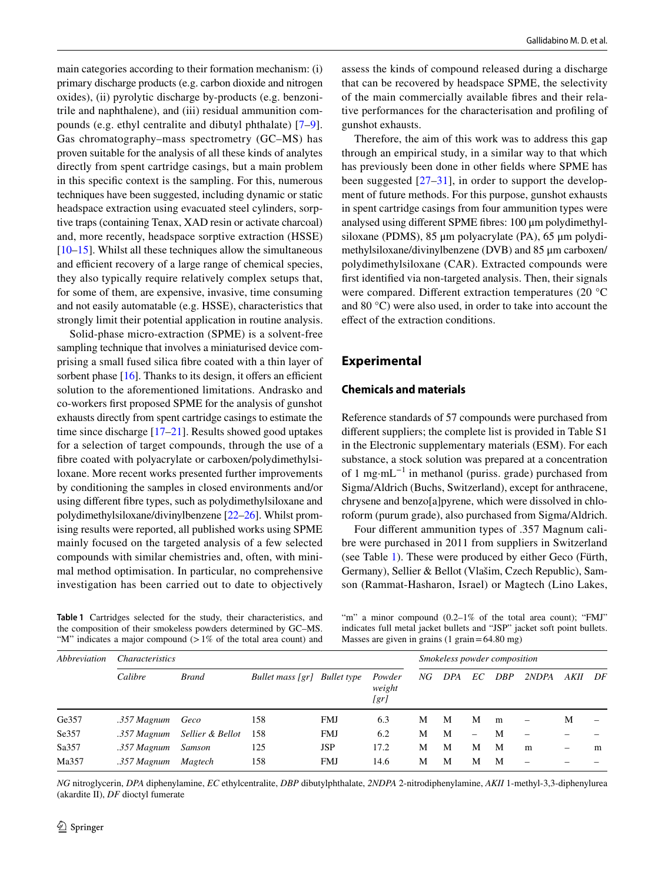main categories according to their formation mechanism: (i) primary discharge products (e.g. carbon dioxide and nitrogen oxides), (ii) pyrolytic discharge by-products (e.g. benzonitrile and naphthalene), and (iii) residual ammunition compounds (e.g. ethyl centralite and dibutyl phthalate) [[7–](#page-10-6)[9](#page-10-7)]. Gas chromatography–mass spectrometry (GC–MS) has proven suitable for the analysis of all these kinds of analytes directly from spent cartridge casings, but a main problem in this specifc context is the sampling. For this, numerous techniques have been suggested, including dynamic or static headspace extraction using evacuated steel cylinders, sorptive traps (containing Tenax, XAD resin or activate charcoal) and, more recently, headspace sorptive extraction (HSSE) [\[10](#page-10-8)[–15](#page-10-9)]. Whilst all these techniques allow the simultaneous and efficient recovery of a large range of chemical species, they also typically require relatively complex setups that, for some of them, are expensive, invasive, time consuming and not easily automatable (e.g. HSSE), characteristics that strongly limit their potential application in routine analysis.

Solid-phase micro-extraction (SPME) is a solvent-free sampling technique that involves a miniaturised device comprising a small fused silica fbre coated with a thin layer of sorbent phase  $[16]$  $[16]$ . Thanks to its design, it offers an efficient solution to the aforementioned limitations. Andrasko and co-workers frst proposed SPME for the analysis of gunshot exhausts directly from spent cartridge casings to estimate the time since discharge [\[17](#page-10-11)[–21](#page-10-12)]. Results showed good uptakes for a selection of target compounds, through the use of a fbre coated with polyacrylate or carboxen/polydimethylsiloxane. More recent works presented further improvements by conditioning the samples in closed environments and/or using diferent fbre types, such as polydimethylsiloxane and polydimethylsiloxane/divinylbenzene [[22–](#page-10-13)[26\]](#page-10-14). Whilst promising results were reported, all published works using SPME mainly focused on the targeted analysis of a few selected compounds with similar chemistries and, often, with minimal method optimisation. In particular, no comprehensive investigation has been carried out to date to objectively

<span id="page-1-0"></span>**Table 1** Cartridges selected for the study, their characteristics, and the composition of their smokeless powders determined by GC–MS. "M" indicates a major compound  $(1\%$  of the total area count) and

assess the kinds of compound released during a discharge that can be recovered by headspace SPME, the selectivity of the main commercially available fbres and their relative performances for the characterisation and profling of gunshot exhausts.

Therefore, the aim of this work was to address this gap through an empirical study, in a similar way to that which has previously been done in other felds where SPME has been suggested  $[27-31]$  $[27-31]$  $[27-31]$ , in order to support the development of future methods. For this purpose, gunshot exhausts in spent cartridge casings from four ammunition types were analysed using diferent SPME fbres: 100 μm polydimethylsiloxane (PDMS), 85 μm polyacrylate (PA), 65 μm polydimethylsiloxane/divinylbenzene (DVB) and 85 μm carboxen/ polydimethylsiloxane (CAR). Extracted compounds were frst identifed via non-targeted analysis. Then, their signals were compared. Diferent extraction temperatures (20 °C and 80 °C) were also used, in order to take into account the efect of the extraction conditions.

# **Experimental**

# **Chemicals and materials**

Reference standards of 57 compounds were purchased from diferent suppliers; the complete list is provided in Table S1 in the Electronic supplementary materials (ESM). For each substance, a stock solution was prepared at a concentration of 1 mg·mL<sup> $-1$ </sup> in methanol (puriss. grade) purchased from Sigma/Aldrich (Buchs, Switzerland), except for anthracene, chrysene and benzo[a]pyrene, which were dissolved in chloroform (purum grade), also purchased from Sigma/Aldrich.

Four diferent ammunition types of .357 Magnum calibre were purchased in 2011 from suppliers in Switzerland (see Table [1\)](#page-1-0). These were produced by either Geco (Fürth, Germany), Sellier & Bellot (Vlašim, Czech Republic), Samson (Rammat-Hasharon, Israel) or Magtech (Lino Lakes,

"m" a minor compound  $(0.2-1\%$  of the total area count); "FMJ" indicates full metal jacket bullets and "JSP" jacket soft point bullets. Masses are given in grains  $(1 \text{ grain} = 64.80 \text{ mg})$ 

| Abbreviation | <i>Characteristics</i> |                  |                              |            |                          |    | Smokeless powder composition |                   |            |                          |      |    |
|--------------|------------------------|------------------|------------------------------|------------|--------------------------|----|------------------------------|-------------------|------------|--------------------------|------|----|
|              | Calibre                | <b>Brand</b>     | Bullet mass [gr] Bullet type |            | Powder<br>weight<br>[gr] | NG | <b>DPA</b>                   | EС                | <b>DBP</b> | 2NDPA                    | AKII | DF |
| Ge357        | .357 Magnum            | Geco             | 158                          | <b>FMJ</b> | 6.3                      | М  | M                            | М                 | m          | $\qquad \qquad -$        | М    |    |
| Se357        | .357 Magnum            | Sellier & Bellot | 158                          | <b>FMJ</b> | 6.2                      | М  | M                            | $\qquad \qquad -$ | М          |                          |      |    |
| Sa357        | $.357$ Magnum          | Samson           | 125                          | <b>JSP</b> | 17.2                     | М  | M                            | M                 | M          | m                        | -    | m  |
| Ma357        | .357 Magnum            | Magtech          | 158                          | <b>FMJ</b> | 14.6                     | М  | M                            | М                 | M          | $\overline{\phantom{0}}$ |      |    |
|              |                        |                  |                              |            |                          |    |                              |                   |            |                          |      |    |

*NG* nitroglycerin, *DPA* diphenylamine, *EC* ethylcentralite, *DBP* dibutylphthalate, *2NDPA* 2-nitrodiphenylamine, *AKII* 1-methyl-3,3-diphenylurea (akardite II), *DF* dioctyl fumerate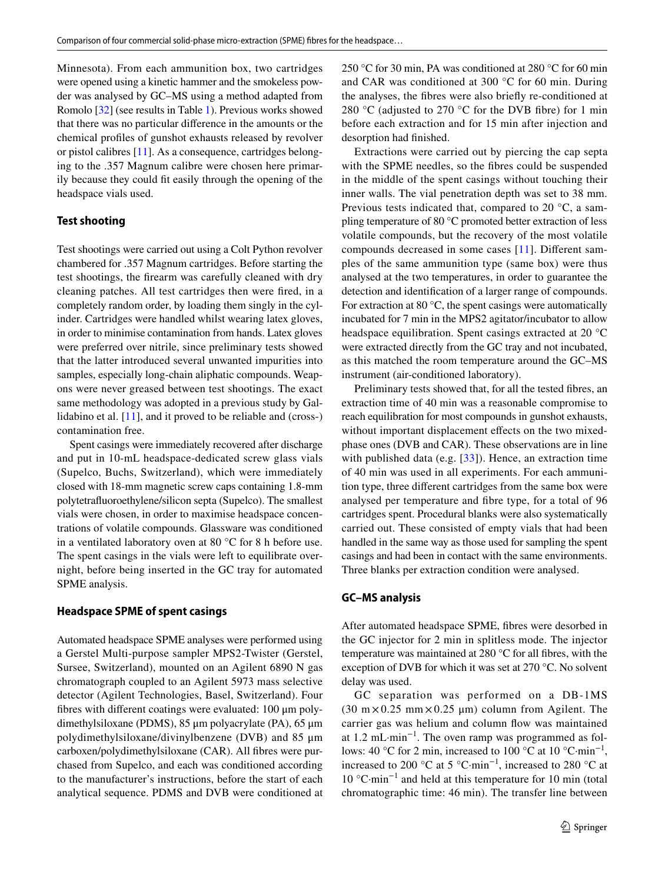Minnesota). From each ammunition box, two cartridges were opened using a kinetic hammer and the smokeless powder was analysed by GC–MS using a method adapted from Romolo [\[32](#page-10-17)] (see results in Table [1\)](#page-1-0). Previous works showed that there was no particular diference in the amounts or the chemical profles of gunshot exhausts released by revolver or pistol calibres [[11\]](#page-10-18). As a consequence, cartridges belonging to the .357 Magnum calibre were chosen here primarily because they could ft easily through the opening of the headspace vials used.

# **Test shooting**

Test shootings were carried out using a Colt Python revolver chambered for .357 Magnum cartridges. Before starting the test shootings, the frearm was carefully cleaned with dry cleaning patches. All test cartridges then were fred, in a completely random order, by loading them singly in the cylinder. Cartridges were handled whilst wearing latex gloves, in order to minimise contamination from hands. Latex gloves were preferred over nitrile, since preliminary tests showed that the latter introduced several unwanted impurities into samples, especially long-chain aliphatic compounds. Weapons were never greased between test shootings. The exact same methodology was adopted in a previous study by Gallidabino et al. [\[11](#page-10-18)], and it proved to be reliable and (cross-) contamination free.

Spent casings were immediately recovered after discharge and put in 10-mL headspace-dedicated screw glass vials (Supelco, Buchs, Switzerland), which were immediately closed with 18-mm magnetic screw caps containing 1.8-mm polytetrafuoroethylene/silicon septa (Supelco). The smallest vials were chosen, in order to maximise headspace concentrations of volatile compounds. Glassware was conditioned in a ventilated laboratory oven at 80 °C for 8 h before use. The spent casings in the vials were left to equilibrate overnight, before being inserted in the GC tray for automated SPME analysis.

### **Headspace SPME of spent casings**

Automated headspace SPME analyses were performed using a Gerstel Multi-purpose sampler MPS2-Twister (Gerstel, Sursee, Switzerland), mounted on an Agilent 6890 N gas chromatograph coupled to an Agilent 5973 mass selective detector (Agilent Technologies, Basel, Switzerland). Four fbres with diferent coatings were evaluated: 100 μm polydimethylsiloxane (PDMS), 85 μm polyacrylate (PA), 65 μm polydimethylsiloxane/divinylbenzene (DVB) and 85 μm carboxen/polydimethylsiloxane (CAR). All fbres were purchased from Supelco, and each was conditioned according to the manufacturer's instructions, before the start of each analytical sequence. PDMS and DVB were conditioned at 250 °C for 30 min, PA was conditioned at 280 °C for 60 min and CAR was conditioned at 300 °C for 60 min. During the analyses, the fbres were also briefy re-conditioned at 280 °C (adjusted to 270 °C for the DVB fibre) for 1 min before each extraction and for 15 min after injection and desorption had fnished.

Extractions were carried out by piercing the cap septa with the SPME needles, so the fbres could be suspended in the middle of the spent casings without touching their inner walls. The vial penetration depth was set to 38 mm. Previous tests indicated that, compared to 20 °C, a sampling temperature of 80 °C promoted better extraction of less volatile compounds, but the recovery of the most volatile compounds decreased in some cases [[11\]](#page-10-18). Diferent samples of the same ammunition type (same box) were thus analysed at the two temperatures, in order to guarantee the detection and identifcation of a larger range of compounds. For extraction at 80 °C, the spent casings were automatically incubated for 7 min in the MPS2 agitator/incubator to allow headspace equilibration. Spent casings extracted at 20 °C were extracted directly from the GC tray and not incubated, as this matched the room temperature around the GC–MS instrument (air-conditioned laboratory).

Preliminary tests showed that, for all the tested fbres, an extraction time of 40 min was a reasonable compromise to reach equilibration for most compounds in gunshot exhausts, without important displacement effects on the two mixedphase ones (DVB and CAR). These observations are in line with published data (e.g. [\[33](#page-10-19)]). Hence, an extraction time of 40 min was used in all experiments. For each ammunition type, three diferent cartridges from the same box were analysed per temperature and fbre type, for a total of 96 cartridges spent. Procedural blanks were also systematically carried out. These consisted of empty vials that had been handled in the same way as those used for sampling the spent casings and had been in contact with the same environments. Three blanks per extraction condition were analysed.

### **GC–MS analysis**

After automated headspace SPME, fbres were desorbed in the GC injector for 2 min in splitless mode. The injector temperature was maintained at 280 °C for all fbres, with the exception of DVB for which it was set at 270 °C. No solvent delay was used.

GC separation was performed on a DB-1MS  $(30 \text{ m} \times 0.25 \text{ mm} \times 0.25 \text{ \mu m})$  column from Agilent. The carrier gas was helium and column fow was maintained at 1.2 mL·min−1. The oven ramp was programmed as follows: 40 °C for 2 min, increased to 100 °C at 10 °C·min<sup>-1</sup>, increased to 200 °C at 5 °C·min<sup>-1</sup>, increased to 280 °C at 10 °C·min−1 and held at this temperature for 10 min (total chromatographic time: 46 min). The transfer line between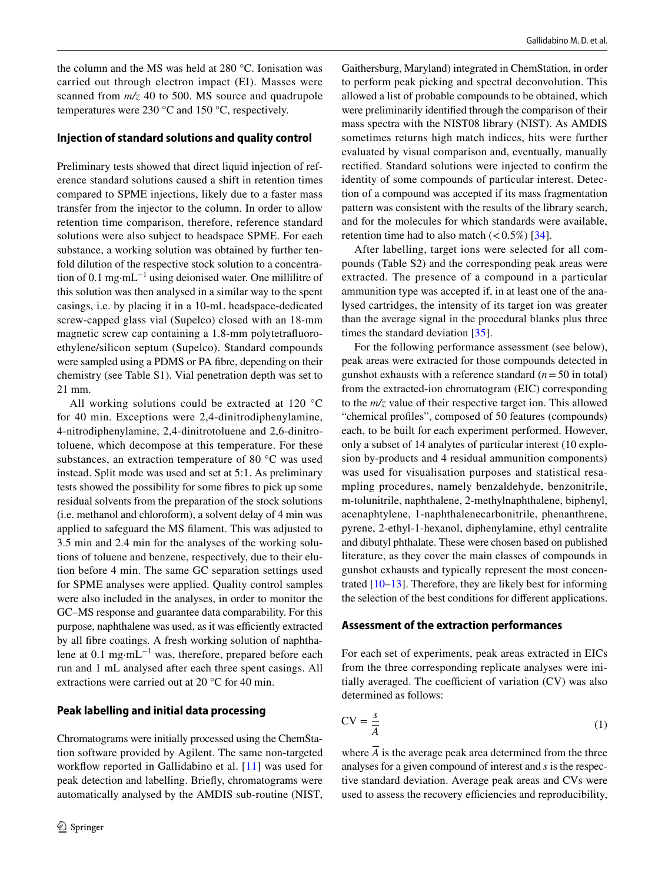the column and the MS was held at 280 °C. Ionisation was carried out through electron impact (EI). Masses were scanned from  $m/z$  40 to 500. MS source and quadrupole temperatures were 230 °C and 150 °C, respectively.

### **Injection of standard solutions and quality control**

Preliminary tests showed that direct liquid injection of reference standard solutions caused a shift in retention times compared to SPME injections, likely due to a faster mass transfer from the injector to the column. In order to allow retention time comparison, therefore, reference standard solutions were also subject to headspace SPME. For each substance, a working solution was obtained by further tenfold dilution of the respective stock solution to a concentration of 0.1 mg·mL−1 using deionised water. One millilitre of this solution was then analysed in a similar way to the spent casings, i.e. by placing it in a 10-mL headspace-dedicated screw-capped glass vial (Supelco) closed with an 18-mm magnetic screw cap containing a 1.8-mm polytetrafuoroethylene/silicon septum (Supelco). Standard compounds were sampled using a PDMS or PA fibre, depending on their chemistry (see Table S1). Vial penetration depth was set to 21 mm.

All working solutions could be extracted at 120 °C for 40 min. Exceptions were 2,4-dinitrodiphenylamine, 4-nitrodiphenylamine, 2,4-dinitrotoluene and 2,6-dinitrotoluene, which decompose at this temperature. For these substances, an extraction temperature of 80 °C was used instead. Split mode was used and set at 5:1. As preliminary tests showed the possibility for some fbres to pick up some residual solvents from the preparation of the stock solutions (i.e. methanol and chloroform), a solvent delay of 4 min was applied to safeguard the MS flament. This was adjusted to 3.5 min and 2.4 min for the analyses of the working solutions of toluene and benzene, respectively, due to their elution before 4 min. The same GC separation settings used for SPME analyses were applied. Quality control samples were also included in the analyses, in order to monitor the GC–MS response and guarantee data comparability. For this purpose, naphthalene was used, as it was efficiently extracted by all fbre coatings. A fresh working solution of naphthalene at 0.1 mg·mL−1 was, therefore, prepared before each run and 1 mL analysed after each three spent casings. All extractions were carried out at 20 °C for 40 min.

### **Peak labelling and initial data processing**

Chromatograms were initially processed using the ChemStation software provided by Agilent. The same non-targeted workflow reported in Gallidabino et al. [\[11\]](#page-10-18) was used for peak detection and labelling. Briefy, chromatograms were automatically analysed by the AMDIS sub-routine (NIST, Gaithersburg, Maryland) integrated in ChemStation, in order to perform peak picking and spectral deconvolution. This allowed a list of probable compounds to be obtained, which were preliminarily identifed through the comparison of their mass spectra with the NIST08 library (NIST). As AMDIS sometimes returns high match indices, hits were further evaluated by visual comparison and, eventually, manually rectifed. Standard solutions were injected to confrm the identity of some compounds of particular interest. Detection of a compound was accepted if its mass fragmentation pattern was consistent with the results of the library search, and for the molecules for which standards were available, retention time had to also match  $(< 0.5\%)$  [[34\]](#page-10-20).

After labelling, target ions were selected for all compounds (Table S2) and the corresponding peak areas were extracted. The presence of a compound in a particular ammunition type was accepted if, in at least one of the analysed cartridges, the intensity of its target ion was greater than the average signal in the procedural blanks plus three times the standard deviation [\[35](#page-10-21)].

For the following performance assessment (see below), peak areas were extracted for those compounds detected in gunshot exhausts with a reference standard  $(n=50 \text{ in total})$ from the extracted-ion chromatogram (EIC) corresponding to the *m/z* value of their respective target ion. This allowed "chemical profles", composed of 50 features (compounds) each, to be built for each experiment performed. However, only a subset of 14 analytes of particular interest (10 explosion by-products and 4 residual ammunition components) was used for visualisation purposes and statistical resampling procedures, namely benzaldehyde, benzonitrile, m-tolunitrile, naphthalene, 2-methylnaphthalene, biphenyl, acenaphtylene, 1-naphthalenecarbonitrile, phenanthrene, pyrene, 2-ethyl-1-hexanol, diphenylamine, ethyl centralite and dibutyl phthalate. These were chosen based on published literature, as they cover the main classes of compounds in gunshot exhausts and typically represent the most concentrated [[10–](#page-10-8)[13](#page-10-22)]. Therefore, they are likely best for informing the selection of the best conditions for diferent applications.

#### **Assessment of the extraction performances**

For each set of experiments, peak areas extracted in EICs from the three corresponding replicate analyses were initially averaged. The coefficient of variation  $(CV)$  was also determined as follows:

$$
CV = \frac{s}{A} \tag{1}
$$

where  $\overline{A}$  is the average peak area determined from the three analyses for a given compound of interest and *s* is the respective standard deviation. Average peak areas and CVs were used to assess the recovery efficiencies and reproducibility,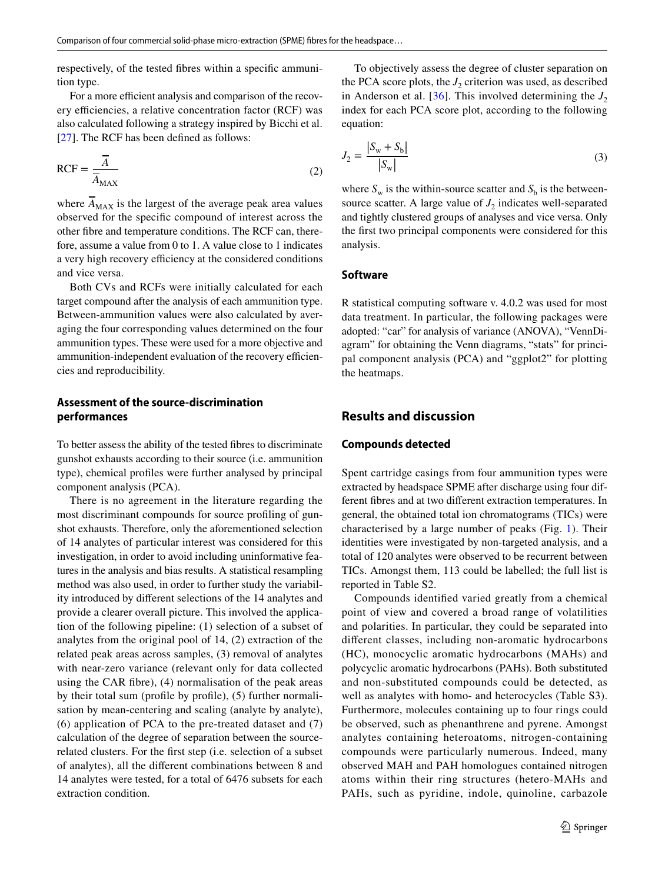respectively, of the tested fbres within a specifc ammunition type.

For a more efficient analysis and comparison of the recovery efficiencies, a relative concentration factor (RCF) was also calculated following a strategy inspired by Bicchi et al. [\[27\]](#page-10-15). The RCF has been defned as follows:

$$
RCF = \frac{\overline{A}}{\overline{A}_{MAX}} \tag{2}
$$

where  $\overline{A}_{MAX}$  is the largest of the average peak area values observed for the specifc compound of interest across the other fbre and temperature conditions. The RCF can, therefore, assume a value from 0 to 1. A value close to 1 indicates a very high recovery efficiency at the considered conditions and vice versa.

Both CVs and RCFs were initially calculated for each target compound after the analysis of each ammunition type. Between-ammunition values were also calculated by averaging the four corresponding values determined on the four ammunition types. These were used for a more objective and ammunition-independent evaluation of the recovery efficiencies and reproducibility.

# **Assessment of the source‑discrimination performances**

To better assess the ability of the tested fbres to discriminate gunshot exhausts according to their source (i.e. ammunition type), chemical profles were further analysed by principal component analysis (PCA).

There is no agreement in the literature regarding the most discriminant compounds for source profling of gunshot exhausts. Therefore, only the aforementioned selection of 14 analytes of particular interest was considered for this investigation, in order to avoid including uninformative features in the analysis and bias results. A statistical resampling method was also used, in order to further study the variability introduced by diferent selections of the 14 analytes and provide a clearer overall picture. This involved the application of the following pipeline: (1) selection of a subset of analytes from the original pool of 14, (2) extraction of the related peak areas across samples, (3) removal of analytes with near-zero variance (relevant only for data collected using the CAR fbre), (4) normalisation of the peak areas by their total sum (profle by profle), (5) further normalisation by mean-centering and scaling (analyte by analyte), (6) application of PCA to the pre-treated dataset and (7) calculation of the degree of separation between the sourcerelated clusters. For the frst step (i.e. selection of a subset of analytes), all the diferent combinations between 8 and 14 analytes were tested, for a total of 6476 subsets for each extraction condition.

To objectively assess the degree of cluster separation on the PCA score plots, the  $J_2$  criterion was used, as described in Anderson et al. [[36](#page-10-23)]. This involved determining the  $J_2$ index for each PCA score plot, according to the following equation:

$$
J_2 = \frac{|S_w + S_b|}{|S_w|} \tag{3}
$$

where  $S_w$  is the within-source scatter and  $S_b$  is the betweensource scatter. A large value of  $J_2$  indicates well-separated and tightly clustered groups of analyses and vice versa. Only the frst two principal components were considered for this analysis.

### **Software**

R statistical computing software v. 4.0.2 was used for most data treatment. In particular, the following packages were adopted: "car" for analysis of variance (ANOVA), "VennDiagram" for obtaining the Venn diagrams, "stats" for principal component analysis (PCA) and "ggplot2" for plotting the heatmaps.

# **Results and discussion**

### **Compounds detected**

Spent cartridge casings from four ammunition types were extracted by headspace SPME after discharge using four different fbres and at two diferent extraction temperatures. In general, the obtained total ion chromatograms (TICs) were characterised by a large number of peaks (Fig. [1](#page-5-0)). Their identities were investigated by non-targeted analysis, and a total of 120 analytes were observed to be recurrent between TICs. Amongst them, 113 could be labelled; the full list is reported in Table S2.

Compounds identifed varied greatly from a chemical point of view and covered a broad range of volatilities and polarities. In particular, they could be separated into diferent classes, including non-aromatic hydrocarbons (HC), monocyclic aromatic hydrocarbons (MAHs) and polycyclic aromatic hydrocarbons (PAHs). Both substituted and non-substituted compounds could be detected, as well as analytes with homo- and heterocycles (Table S3). Furthermore, molecules containing up to four rings could be observed, such as phenanthrene and pyrene. Amongst analytes containing heteroatoms, nitrogen-containing compounds were particularly numerous. Indeed, many observed MAH and PAH homologues contained nitrogen atoms within their ring structures (hetero-MAHs and PAHs, such as pyridine, indole, quinoline, carbazole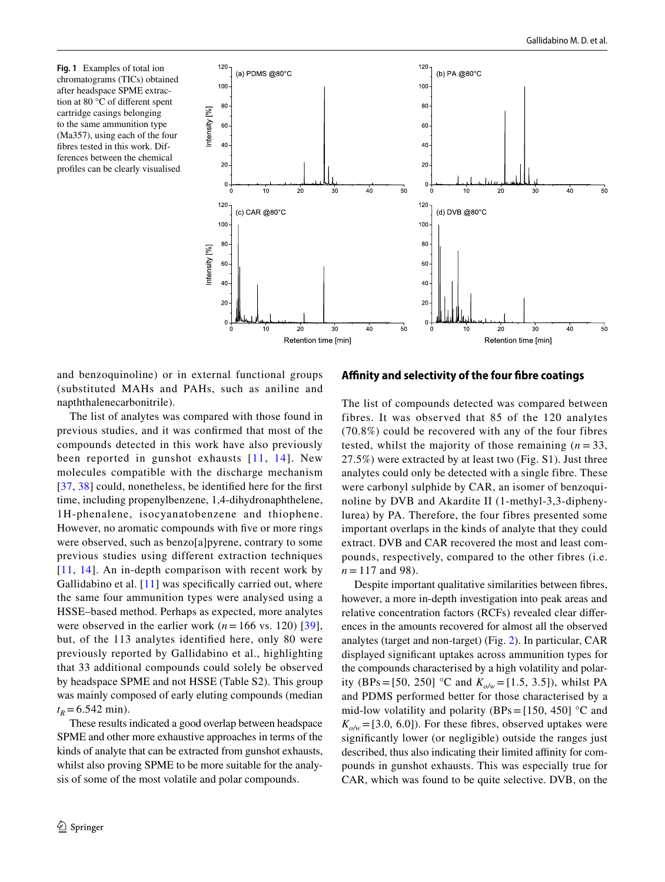<span id="page-5-0"></span>**Fig. 1** Examples of total ion chromatograms (TICs) obtained after headspace SPME extraction at 80 °C of diferent spent cartridge casings belonging to the same ammunition type (Ma357), using each of the four fbres tested in this work. Differences between the chemical profles can be clearly visualised



and benzoquinoline) or in external functional groups (substituted MAHs and PAHs, such as aniline and napththalenecarbonitrile).

The list of analytes was compared with those found in previous studies, and it was confrmed that most of the compounds detected in this work have also previously been reported in gunshot exhausts [[11](#page-10-18), [14\]](#page-10-24). New molecules compatible with the discharge mechanism [[37,](#page-10-25) [38](#page-10-26)] could, nonetheless, be identified here for the first time, including propenylbenzene, 1,4-dihydronaphthelene, 1H-phenalene, isocyanatobenzene and thiophene. However, no aromatic compounds with fve or more rings were observed, such as benzo[a]pyrene, contrary to some previous studies using different extraction techniques [[11](#page-10-18), [14](#page-10-24)]. An in-depth comparison with recent work by Gallidabino et al. [[11](#page-10-18)] was specifically carried out, where the same four ammunition types were analysed using a HSSE–based method. Perhaps as expected, more analytes were observed in the earlier work  $(n=166 \text{ vs. } 120)$  [[39](#page-11-0)], but, of the 113 analytes identifed here, only 80 were previously reported by Gallidabino et al., highlighting that 33 additional compounds could solely be observed by headspace SPME and not HSSE (Table S2). This group was mainly composed of early eluting compounds (median  $t_R$ =6.542 min).

These results indicated a good overlap between headspace SPME and other more exhaustive approaches in terms of the kinds of analyte that can be extracted from gunshot exhausts, whilst also proving SPME to be more suitable for the analysis of some of the most volatile and polar compounds.

#### **Afnity and selectivity of the four fbre coatings**

The list of compounds detected was compared between fibres. It was observed that 85 of the 120 analytes (70.8%) could be recovered with any of the four fibres tested, whilst the majority of those remaining  $(n=33)$ , 27.5%) were extracted by at least two (Fig. S1). Just three analytes could only be detected with a single fibre. These were carbonyl sulphide by CAR, an isomer of benzoquinoline by DVB and Akardite II (1-methyl-3,3-diphenylurea) by PA. Therefore, the four fibres presented some important overlaps in the kinds of analyte that they could extract. DVB and CAR recovered the most and least compounds, respectively, compared to the other fibres (i.e.  $n = 117$  and 98).

Despite important qualitative similarities between fbres, however, a more in-depth investigation into peak areas and relative concentration factors (RCFs) revealed clear diferences in the amounts recovered for almost all the observed analytes (target and non-target) (Fig. [2\)](#page-6-0). In particular, CAR displayed signifcant uptakes across ammunition types for the compounds characterised by a high volatility and polarity (BPs = [50, 250] °C and  $K_{o/w}$  = [1.5, 3.5]), whilst PA and PDMS performed better for those characterised by a mid-low volatility and polarity (BPs = [150, 450]  $\degree$ C and  $K_{\alpha/\omega}$  = [3.0, 6.0]). For these fibres, observed uptakes were signifcantly lower (or negligible) outside the ranges just described, thus also indicating their limited affinity for compounds in gunshot exhausts. This was especially true for CAR, which was found to be quite selective. DVB, on the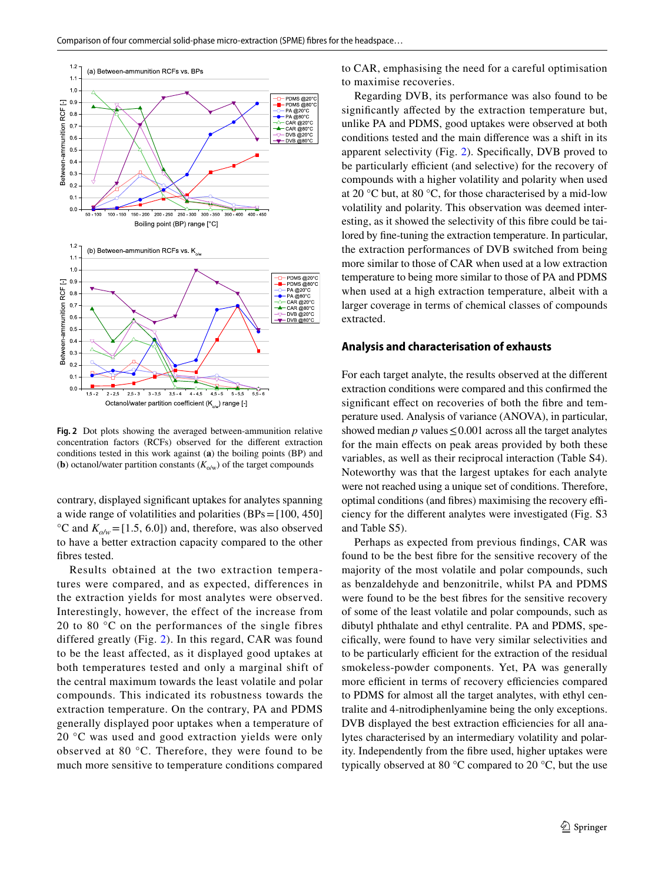

<span id="page-6-0"></span>**Fig. 2** Dot plots showing the averaged between-ammunition relative concentration factors (RCFs) observed for the diferent extraction conditions tested in this work against (**a**) the boiling points (BP) and (**b**) octanol/water partition constants  $(K_{\text{o/w}})$  of the target compounds

contrary, displayed signifcant uptakes for analytes spanning a wide range of volatilities and polarities (BPs=[100, 450]  ${}^{\circ}$ C and  $K_{\text{o/w}}$  = [1.5, 6.0]) and, therefore, was also observed to have a better extraction capacity compared to the other fbres tested.

Results obtained at the two extraction temperatures were compared, and as expected, differences in the extraction yields for most analytes were observed. Interestingly, however, the effect of the increase from 20 to 80 °C on the performances of the single fibres differed greatly (Fig. [2](#page-6-0)). In this regard, CAR was found to be the least affected, as it displayed good uptakes at both temperatures tested and only a marginal shift of the central maximum towards the least volatile and polar compounds. This indicated its robustness towards the extraction temperature. On the contrary, PA and PDMS generally displayed poor uptakes when a temperature of 20 °C was used and good extraction yields were only observed at 80 °C. Therefore, they were found to be much more sensitive to temperature conditions compared to CAR, emphasising the need for a careful optimisation to maximise recoveries.

Regarding DVB, its performance was also found to be signifcantly afected by the extraction temperature but, unlike PA and PDMS, good uptakes were observed at both conditions tested and the main diference was a shift in its apparent selectivity (Fig. [2](#page-6-0)). Specifcally, DVB proved to be particularly efficient (and selective) for the recovery of compounds with a higher volatility and polarity when used at 20 °C but, at 80 °C, for those characterised by a mid-low volatility and polarity. This observation was deemed interesting, as it showed the selectivity of this fbre could be tailored by fne-tuning the extraction temperature. In particular, the extraction performances of DVB switched from being more similar to those of CAR when used at a low extraction temperature to being more similar to those of PA and PDMS when used at a high extraction temperature, albeit with a larger coverage in terms of chemical classes of compounds extracted.

#### **Analysis and characterisation of exhausts**

For each target analyte, the results observed at the diferent extraction conditions were compared and this confrmed the significant effect on recoveries of both the fibre and temperature used. Analysis of variance (ANOVA), in particular, showed median  $p$  values  $\leq 0.001$  across all the target analytes for the main efects on peak areas provided by both these variables, as well as their reciprocal interaction (Table S4). Noteworthy was that the largest uptakes for each analyte were not reached using a unique set of conditions. Therefore, optimal conditions (and fibres) maximising the recovery efficiency for the diferent analytes were investigated (Fig. S3 and Table S5).

Perhaps as expected from previous fndings, CAR was found to be the best fbre for the sensitive recovery of the majority of the most volatile and polar compounds, such as benzaldehyde and benzonitrile, whilst PA and PDMS were found to be the best fbres for the sensitive recovery of some of the least volatile and polar compounds, such as dibutyl phthalate and ethyl centralite. PA and PDMS, specifcally, were found to have very similar selectivities and to be particularly efficient for the extraction of the residual smokeless-powder components. Yet, PA was generally more efficient in terms of recovery efficiencies compared to PDMS for almost all the target analytes, with ethyl centralite and 4-nitrodiphenlyamine being the only exceptions. DVB displayed the best extraction efficiencies for all analytes characterised by an intermediary volatility and polarity. Independently from the fbre used, higher uptakes were typically observed at 80 °C compared to 20 °C, but the use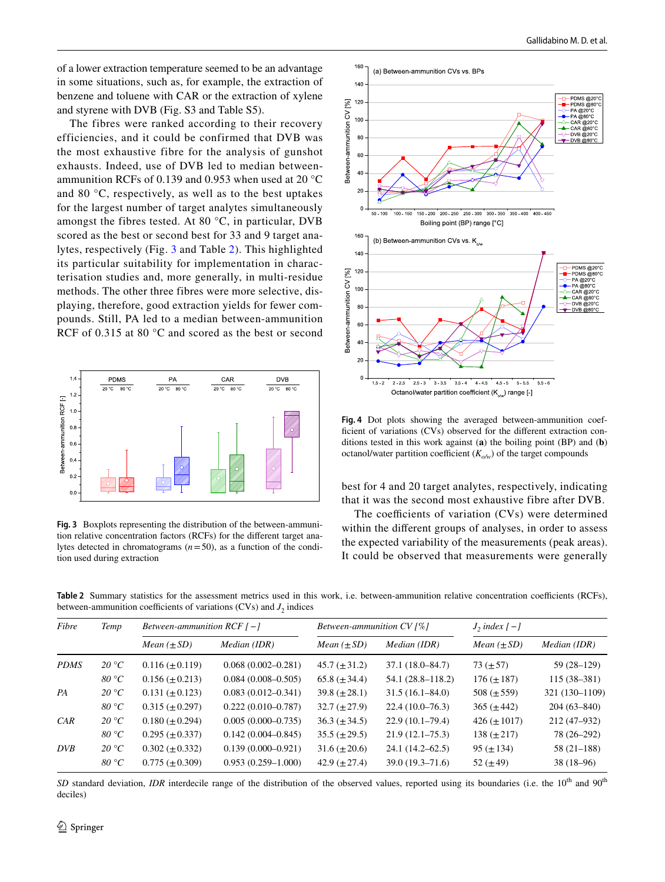of a lower extraction temperature seemed to be an advantage in some situations, such as, for example, the extraction of benzene and toluene with CAR or the extraction of xylene and styrene with DVB (Fig. S3 and Table S5).

The fibres were ranked according to their recovery efficiencies, and it could be confirmed that DVB was the most exhaustive fibre for the analysis of gunshot exhausts. Indeed, use of DVB led to median betweenammunition RCFs of 0.139 and 0.953 when used at 20 °C and 80 °C, respectively, as well as to the best uptakes for the largest number of target analytes simultaneously amongst the fibres tested. At 80 °C, in particular, DVB scored as the best or second best for 33 and 9 target analytes, respectively (Fig. [3](#page-7-0) and Table [2](#page-7-1)). This highlighted its particular suitability for implementation in characterisation studies and, more generally, in multi-residue methods. The other three fibres were more selective, displaying, therefore, good extraction yields for fewer compounds. Still, PA led to a median between-ammunition RCF of 0.315 at 80 °C and scored as the best or second



<span id="page-7-0"></span>**Fig. 3** Boxplots representing the distribution of the between-ammunition relative concentration factors (RCFs) for the diferent target analytes detected in chromatograms  $(n=50)$ , as a function of the condition used during extraction



<span id="page-7-2"></span>**Fig. 4** Dot plots showing the averaged between-ammunition coefficient of variations (CVs) observed for the different extraction conditions tested in this work against (**a**) the boiling point (BP) and (**b**) octanol/water partition coefficient  $(K_{\phi/\psi})$  of the target compounds

best for 4 and 20 target analytes, respectively, indicating that it was the second most exhaustive fibre after DVB.

The coefficients of variation  $(CVs)$  were determined within the diferent groups of analyses, in order to assess the expected variability of the measurements (peak areas). It could be observed that measurements were generally

<span id="page-7-1"></span>Table 2 Summary statistics for the assessment metrics used in this work, i.e. between-ammunition relative concentration coefficients (RCFs), between-ammunition coefficients of variations (CVs) and  $J_2$  indices

| Fibre       | Temp  | Between-ammunition $RCF$ [-] |                        | Between-ammunition $CV[%]$ |                      | $J_2$ index $[-1]$     |                 |  |
|-------------|-------|------------------------------|------------------------|----------------------------|----------------------|------------------------|-----------------|--|
|             |       | <i>Mean</i> $(\pm SD)$       | Median (IDR)           | <i>Mean</i> $(\pm SD)$     | Median (IDR)         | <i>Mean</i> $(\pm SD)$ | Median (IDR)    |  |
| <b>PDMS</b> | 20 °C | $0.116 \ (\pm 0.119)$        | $0.068(0.002 - 0.281)$ | $45.7 (\pm 31.2)$          | $37.1(18.0 - 84.7)$  | $73 (\pm 57)$          | 59 (28–129)     |  |
|             | 80 °C | $0.156 \ (\pm 0.213)$        | $0.084(0.008 - 0.505)$ | 65.8 $(\pm 34.4)$          | $54.1(28.8 - 118.2)$ | $176 (\pm 187)$        | $115(38-381)$   |  |
| PA          | 20 °C | $0.131 \ (\pm 0.123)$        | $0.083(0.012 - 0.341)$ | $39.8 (\pm 28.1)$          | $31.5(16.1 - 84.0)$  | 508 $(\pm 559)$        | 321 (130-1109)  |  |
|             | 80 °C | $0.315 \ (\pm 0.297)$        | $0.222(0.010-0.787)$   | $32.7 (\pm 27.9)$          | $22.4(10.0-76.3)$    | $365 (\pm 442)$        | $204(63 - 840)$ |  |
| CAR         | 20 °C | $0.180 \ (\pm 0.294)$        | $0.005(0.000 - 0.735)$ | $36.3 (\pm 34.5)$          | $22.9(10.1-79.4)$    | $426 (\pm 1017)$       | $212(47-932)$   |  |
|             | 80 °C | $0.295 \ (\pm 0.337)$        | $0.142(0.004 - 0.845)$ | $35.5 (\pm 29.5)$          | $21.9(12.1-75.3)$    | $138 (\pm 217)$        | 78 (26–292)     |  |
| <b>DVB</b>  | 20 °C | $0.302 \ (\pm 0.332)$        | $0.139(0.000 - 0.921)$ | $31.6 (\pm 20.6)$          | $24.1(14.2 - 62.5)$  | $95 (\pm 134)$         | $58(21-188)$    |  |
|             | 80 °C | $0.775 \ (\pm 0.309)$        | $0.953(0.259 - 1.000)$ | 42.9 $(\pm 27.4)$          | $39.0(19.3 - 71.6)$  | 52 $(\pm 49)$          | $38(18-96)$     |  |

*SD* standard deviation, *IDR* interdecile range of the distribution of the observed values, reported using its boundaries (i.e. the 10<sup>th</sup> and 90<sup>th</sup> deciles)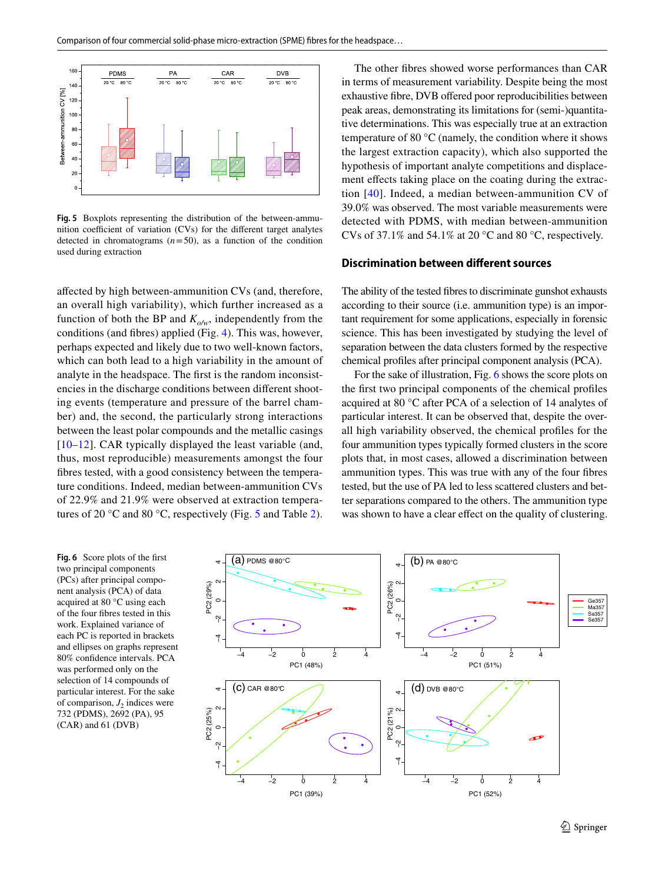

<span id="page-8-0"></span>**Fig. 5** Boxplots representing the distribution of the between-ammunition coefficient of variation  $(CVs)$  for the different target analytes detected in chromatograms  $(n=50)$ , as a function of the condition used during extraction

afected by high between-ammunition CVs (and, therefore, an overall high variability), which further increased as a function of both the BP and  $K_{\alpha\alpha}$ , independently from the conditions (and fbres) applied (Fig. [4\)](#page-7-2). This was, however, perhaps expected and likely due to two well-known factors, which can both lead to a high variability in the amount of analyte in the headspace. The frst is the random inconsistencies in the discharge conditions between diferent shooting events (temperature and pressure of the barrel chamber) and, the second, the particularly strong interactions between the least polar compounds and the metallic casings [[10–](#page-10-8)[12](#page-10-27)]. CAR typically displayed the least variable (and, thus, most reproducible) measurements amongst the four fbres tested, with a good consistency between the temperature conditions. Indeed, median between-ammunition CVs of 22.9% and 21.9% were observed at extraction temperatures of 20 °C and 80 °C, respectively (Fig. [5](#page-8-0) and Table [2](#page-7-1)).

The other fbres showed worse performances than CAR in terms of measurement variability. Despite being the most exhaustive fibre, DVB offered poor reproducibilities between peak areas, demonstrating its limitations for (semi-)quantitative determinations. This was especially true at an extraction temperature of 80 °C (namely, the condition where it shows the largest extraction capacity), which also supported the hypothesis of important analyte competitions and displacement effects taking place on the coating during the extraction [\[40\]](#page-11-1). Indeed, a median between-ammunition CV of 39.0% was observed. The most variable measurements were detected with PDMS, with median between-ammunition CVs of 37.1% and 54.1% at 20 °C and 80 °C, respectively.

### **Discrimination between diferent sources**

The ability of the tested fbres to discriminate gunshot exhausts according to their source (i.e. ammunition type) is an important requirement for some applications, especially in forensic science. This has been investigated by studying the level of separation between the data clusters formed by the respective chemical profles after principal component analysis (PCA).

For the sake of illustration, Fig. [6](#page-8-1) shows the score plots on the frst two principal components of the chemical profles acquired at 80 °C after PCA of a selection of 14 analytes of particular interest. It can be observed that, despite the overall high variability observed, the chemical profles for the four ammunition types typically formed clusters in the score plots that, in most cases, allowed a discrimination between ammunition types. This was true with any of the four fbres tested, but the use of PA led to less scattered clusters and better separations compared to the others. The ammunition type was shown to have a clear effect on the quality of clustering.

<span id="page-8-1"></span>**Fig. 6** Score plots of the frst two principal components (PCs) after principal component analysis (PCA) of data acquired at 80 °C using each of the four fbres tested in this work. Explained variance of each PC is reported in brackets and ellipses on graphs represent 80% confdence intervals. PCA was performed only on the selection of 14 compounds of particular interest. For the sake of comparison,  $J_2$  indices were 732 (PDMS), 2692 (PA), 95 (CAR) and 61 (DVB)

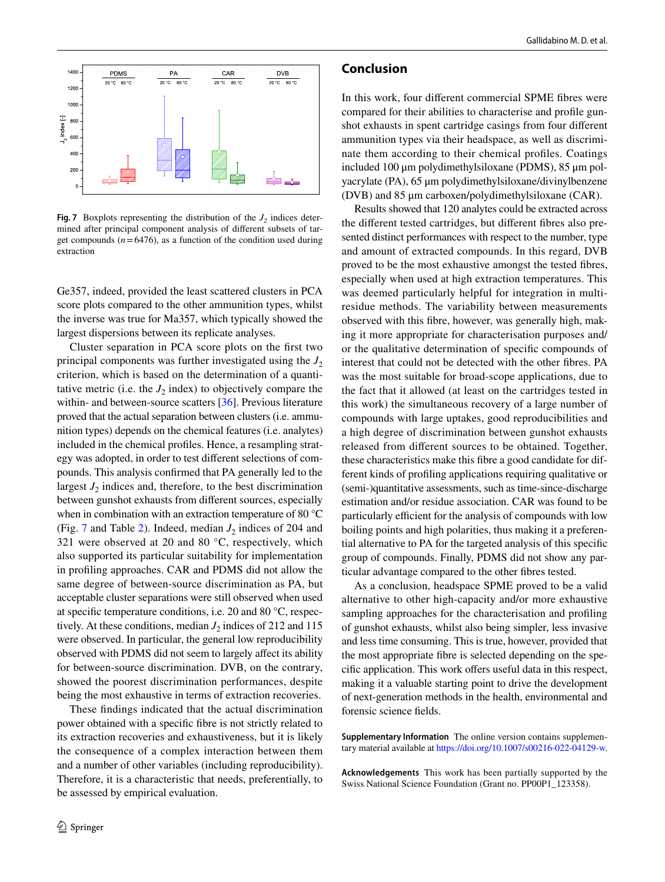

<span id="page-9-0"></span>**Fig. 7** Boxplots representing the distribution of the  $J_2$  indices determined after principal component analysis of diferent subsets of target compounds  $(n=6476)$ , as a function of the condition used during extraction

Ge357, indeed, provided the least scattered clusters in PCA score plots compared to the other ammunition types, whilst the inverse was true for Ma357, which typically showed the largest dispersions between its replicate analyses.

Cluster separation in PCA score plots on the frst two principal components was further investigated using the  $J_2$ criterion, which is based on the determination of a quantitative metric (i.e. the  $J_2$  index) to objectively compare the within- and between-source scatters [\[36](#page-10-23)]. Previous literature proved that the actual separation between clusters (i.e. ammunition types) depends on the chemical features (i.e. analytes) included in the chemical profles. Hence, a resampling strategy was adopted, in order to test diferent selections of compounds. This analysis confrmed that PA generally led to the largest  $J_2$  indices and, therefore, to the best discrimination between gunshot exhausts from diferent sources, especially when in combination with an extraction temperature of 80 °C (Fig. [7](#page-9-0) and Table [2\)](#page-7-1). Indeed, median  $J_2$  indices of 204 and 321 were observed at 20 and 80  $^{\circ}$ C, respectively, which also supported its particular suitability for implementation in profling approaches. CAR and PDMS did not allow the same degree of between-source discrimination as PA, but acceptable cluster separations were still observed when used at specifc temperature conditions, i.e. 20 and 80 °C, respectively. At these conditions, median  $J_2$  indices of 212 and 115 were observed. In particular, the general low reproducibility observed with PDMS did not seem to largely afect its ability for between-source discrimination. DVB, on the contrary, showed the poorest discrimination performances, despite being the most exhaustive in terms of extraction recoveries.

These fndings indicated that the actual discrimination power obtained with a specifc fbre is not strictly related to its extraction recoveries and exhaustiveness, but it is likely the consequence of a complex interaction between them and a number of other variables (including reproducibility). Therefore, it is a characteristic that needs, preferentially, to be assessed by empirical evaluation.

### **Conclusion**

In this work, four diferent commercial SPME fbres were compared for their abilities to characterise and profle gunshot exhausts in spent cartridge casings from four diferent ammunition types via their headspace, as well as discriminate them according to their chemical profles. Coatings included 100 μm polydimethylsiloxane (PDMS), 85 μm polyacrylate (PA), 65 μm polydimethylsiloxane/divinylbenzene (DVB) and 85 μm carboxen/polydimethylsiloxane (CAR).

Results showed that 120 analytes could be extracted across the diferent tested cartridges, but diferent fbres also presented distinct performances with respect to the number, type and amount of extracted compounds. In this regard, DVB proved to be the most exhaustive amongst the tested fbres, especially when used at high extraction temperatures. This was deemed particularly helpful for integration in multiresidue methods. The variability between measurements observed with this fbre, however, was generally high, making it more appropriate for characterisation purposes and/ or the qualitative determination of specifc compounds of interest that could not be detected with the other fbres. PA was the most suitable for broad-scope applications, due to the fact that it allowed (at least on the cartridges tested in this work) the simultaneous recovery of a large number of compounds with large uptakes, good reproducibilities and a high degree of discrimination between gunshot exhausts released from diferent sources to be obtained. Together, these characteristics make this fbre a good candidate for different kinds of profling applications requiring qualitative or (semi-)quantitative assessments, such as time-since-discharge estimation and/or residue association. CAR was found to be particularly efficient for the analysis of compounds with low boiling points and high polarities, thus making it a preferential alternative to PA for the targeted analysis of this specifc group of compounds. Finally, PDMS did not show any particular advantage compared to the other fbres tested.

As a conclusion, headspace SPME proved to be a valid alternative to other high-capacity and/or more exhaustive sampling approaches for the characterisation and profling of gunshot exhausts, whilst also being simpler, less invasive and less time consuming. This is true, however, provided that the most appropriate fbre is selected depending on the specific application. This work offers useful data in this respect, making it a valuable starting point to drive the development of next-generation methods in the health, environmental and forensic science felds.

**Supplementary Information** The online version contains supplementary material available at<https://doi.org/10.1007/s00216-022-04129-w>.

**Acknowledgements** This work has been partially supported by the Swiss National Science Foundation (Grant no. PP00P1\_123358).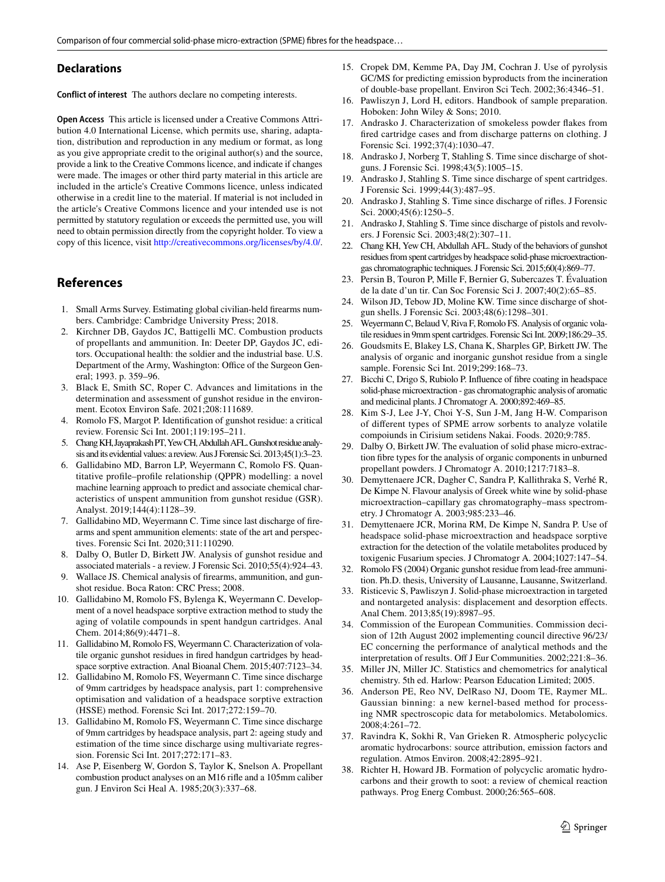#### **Declarations**

**Conflict of interest** The authors declare no competing interests.

**Open Access** This article is licensed under a Creative Commons Attribution 4.0 International License, which permits use, sharing, adaptation, distribution and reproduction in any medium or format, as long as you give appropriate credit to the original author(s) and the source, provide a link to the Creative Commons licence, and indicate if changes were made. The images or other third party material in this article are included in the article's Creative Commons licence, unless indicated otherwise in a credit line to the material. If material is not included in the article's Creative Commons licence and your intended use is not permitted by statutory regulation or exceeds the permitted use, you will need to obtain permission directly from the copyright holder. To view a copy of this licence, visit <http://creativecommons.org/licenses/by/4.0/>.

# **References**

- <span id="page-10-0"></span>1. Small Arms Survey. Estimating global civilian-held frearms numbers. Cambridge: Cambridge University Press; 2018.
- <span id="page-10-1"></span>2. Kirchner DB, Gaydos JC, Battigelli MC. Combustion products of propellants and ammunition. In: Deeter DP, Gaydos JC, editors. Occupational health: the soldier and the industrial base. U.S. Department of the Army, Washington: Office of the Surgeon General; 1993. p. 359–96.
- <span id="page-10-2"></span>3. Black E, Smith SC, Roper C. Advances and limitations in the determination and assessment of gunshot residue in the environment. Ecotox Environ Safe. 2021;208:111689.
- <span id="page-10-3"></span>4. Romolo FS, Margot P. Identifcation of gunshot residue: a critical review. Forensic Sci Int. 2001;119:195–211.
- <span id="page-10-4"></span>5. Chang KH, Jayaprakash PT, Yew CH, Abdullah AFL. Gunshot residue analysis and its evidential values: a review. Aus J Forensic Sci. 2013;45(1):3–23.
- <span id="page-10-5"></span>6. Gallidabino MD, Barron LP, Weyermann C, Romolo FS. Quantitative profle–profle relationship (QPPR) modelling: a novel machine learning approach to predict and associate chemical characteristics of unspent ammunition from gunshot residue (GSR). Analyst. 2019;144(4):1128–39.
- <span id="page-10-6"></span>7. Gallidabino MD, Weyermann C. Time since last discharge of frearms and spent ammunition elements: state of the art and perspectives. Forensic Sci Int. 2020;311:110290.
- 8. Dalby O, Butler D, Birkett JW. Analysis of gunshot residue and associated materials - a review. J Forensic Sci. 2010;55(4):924–43.
- <span id="page-10-7"></span>9. Wallace JS. Chemical analysis of frearms, ammunition, and gunshot residue. Boca Raton: CRC Press; 2008.
- <span id="page-10-8"></span>10. Gallidabino M, Romolo FS, Bylenga K, Weyermann C. Development of a novel headspace sorptive extraction method to study the aging of volatile compounds in spent handgun cartridges. Anal Chem. 2014;86(9):4471–8.
- <span id="page-10-18"></span>11. Gallidabino M, Romolo FS, Weyermann C. Characterization of volatile organic gunshot residues in fred handgun cartridges by headspace sorptive extraction. Anal Bioanal Chem. 2015;407:7123–34.
- <span id="page-10-27"></span>12. Gallidabino M, Romolo FS, Weyermann C. Time since discharge of 9mm cartridges by headspace analysis, part 1: comprehensive optimisation and validation of a headspace sorptive extraction (HSSE) method. Forensic Sci Int. 2017;272:159–70.
- <span id="page-10-22"></span>13. Gallidabino M, Romolo FS, Weyermann C. Time since discharge of 9mm cartridges by headspace analysis, part 2: ageing study and estimation of the time since discharge using multivariate regression. Forensic Sci Int. 2017;272:171–83.
- <span id="page-10-24"></span>14. Ase P, Eisenberg W, Gordon S, Taylor K, Snelson A. Propellant combustion product analyses on an M16 rife and a 105mm caliber gun. J Environ Sci Heal A. 1985;20(3):337–68.
- <span id="page-10-9"></span>15. Cropek DM, Kemme PA, Day JM, Cochran J. Use of pyrolysis GC/MS for predicting emission byproducts from the incineration of double-base propellant. Environ Sci Tech. 2002;36:4346–51.
- <span id="page-10-10"></span>16. Pawliszyn J, Lord H, editors. Handbook of sample preparation. Hoboken: John Wiley & Sons; 2010.
- <span id="page-10-11"></span>17. Andrasko J. Characterization of smokeless powder fakes from fred cartridge cases and from discharge patterns on clothing. J Forensic Sci. 1992;37(4):1030–47.
- 18. Andrasko J, Norberg T, Stahling S. Time since discharge of shotguns. J Forensic Sci. 1998;43(5):1005–15.
- 19. Andrasko J, Stahling S. Time since discharge of spent cartridges. J Forensic Sci. 1999;44(3):487–95.
- 20. Andrasko J, Stahling S. Time since discharge of rifes. J Forensic Sci. 2000;45(6):1250–5.
- <span id="page-10-12"></span>21. Andrasko J, Stahling S. Time since discharge of pistols and revolvers. J Forensic Sci. 2003;48(2):307–11.
- <span id="page-10-13"></span>22. Chang KH, Yew CH, Abdullah AFL. Study of the behaviors of gunshot residues from spent cartridges by headspace solid-phase microextractiongas chromatographic techniques. J Forensic Sci. 2015;60(4):869–77.
- 23. Persin B, Touron P, Mille F, Bernier G, Subercazes T. Évaluation de la date d'un tir. Can Soc Forensic Sci J. 2007;40(2):65–85.
- 24. Wilson JD, Tebow JD, Moline KW. Time since discharge of shotgun shells. J Forensic Sci. 2003;48(6):1298–301.
- 25. Weyermann C, Belaud V, Riva F, Romolo FS. Analysis of organic volatile residues in 9mm spent cartridges. Forensic Sci Int. 2009;186:29–35.
- <span id="page-10-14"></span>26. Goudsmits E, Blakey LS, Chana K, Sharples GP, Birkett JW. The analysis of organic and inorganic gunshot residue from a single sample. Forensic Sci Int. 2019;299:168–73.
- <span id="page-10-15"></span>27. Bicchi C, Drigo S, Rubiolo P. Infuence of fbre coating in headspace solid-phase microextraction - gas chromatographic analysis of aromatic and medicinal plants. J Chromatogr A. 2000;892:469–85.
- 28. Kim S-J, Lee J-Y, Choi Y-S, Sun J-M, Jang H-W. Comparison of diferent types of SPME arrow sorbents to analyze volatile compoiunds in Cirisium setidens Nakai. Foods. 2020;9:785.
- 29. Dalby O, Birkett JW. The evaluation of solid phase micro-extraction fbre types for the analysis of organic components in unburned propellant powders. J Chromatogr A. 2010;1217:7183–8.
- 30. Demyttenaere JCR, Dagher C, Sandra P, Kallithraka S, Verhé R, De Kimpe N. Flavour analysis of Greek white wine by solid-phase microextraction–capillary gas chromatography–mass spectrometry. J Chromatogr A. 2003;985:233–46.
- <span id="page-10-16"></span>31. Demyttenaere JCR, Morina RM, De Kimpe N, Sandra P. Use of headspace solid-phase microextraction and headspace sorptive extraction for the detection of the volatile metabolites produced by toxigenic Fusarium species. J Chromatogr A. 2004;1027:147–54.
- <span id="page-10-17"></span>32. Romolo FS (2004) Organic gunshot residue from lead-free ammunition. Ph.D. thesis, University of Lausanne, Lausanne, Switzerland.
- <span id="page-10-19"></span>33. Risticevic S, Pawliszyn J. Solid-phase microextraction in targeted and nontargeted analysis: displacement and desorption efects. Anal Chem. 2013;85(19):8987–95.
- <span id="page-10-20"></span>34. Commission of the European Communities. Commission decision of 12th August 2002 implementing council directive 96/23/ EC concerning the performance of analytical methods and the interpretation of results. Off J Eur Communities. 2002;221:8-36.
- <span id="page-10-21"></span>35. Miller JN, Miller JC. Statistics and chemometrics for analytical chemistry. 5th ed. Harlow: Pearson Education Limited; 2005.
- <span id="page-10-23"></span>36. Anderson PE, Reo NV, DelRaso NJ, Doom TE, Raymer ML. Gaussian binning: a new kernel-based method for processing NMR spectroscopic data for metabolomics. Metabolomics. 2008;4:261–72.
- <span id="page-10-25"></span>37. Ravindra K, Sokhi R, Van Grieken R. Atmospheric polycyclic aromatic hydrocarbons: source attribution, emission factors and regulation. Atmos Environ. 2008;42:2895–921.
- <span id="page-10-26"></span>38. Richter H, Howard JB. Formation of polycyclic aromatic hydrocarbons and their growth to soot: a review of chemical reaction pathways. Prog Energ Combust. 2000;26:565–608.